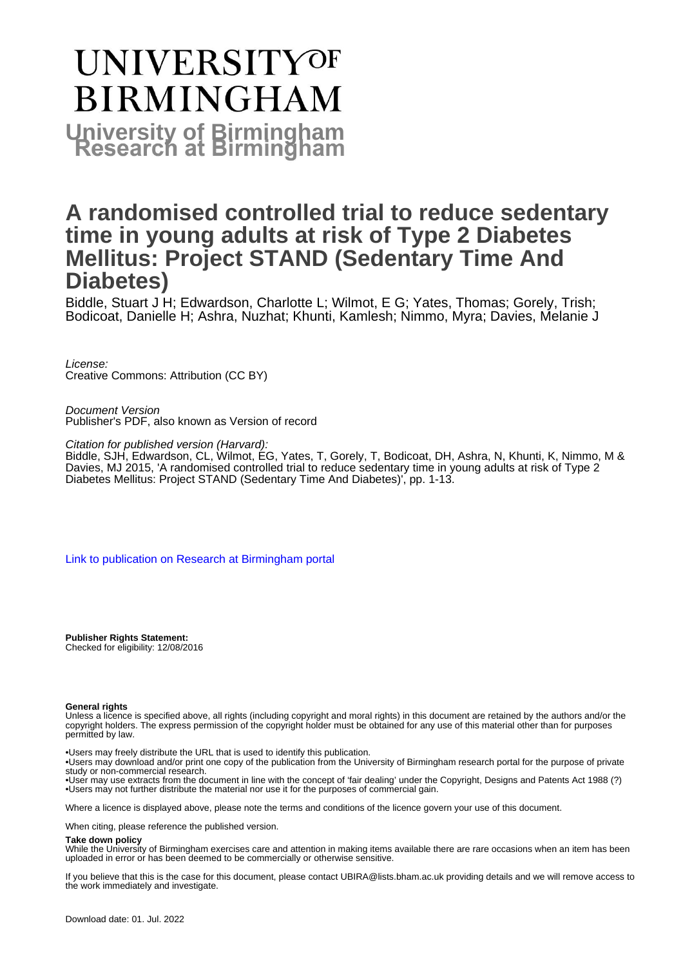# UNIVERSITYOF **BIRMINGHAM University of Birmingham**

## **A randomised controlled trial to reduce sedentary time in young adults at risk of Type 2 Diabetes Mellitus: Project STAND (Sedentary Time And Diabetes)**

Biddle, Stuart J H; Edwardson, Charlotte L; Wilmot, E G; Yates, Thomas; Gorely, Trish; Bodicoat, Danielle H; Ashra, Nuzhat; Khunti, Kamlesh; Nimmo, Myra; Davies, Melanie J

License: Creative Commons: Attribution (CC BY)

Document Version Publisher's PDF, also known as Version of record

Citation for published version (Harvard):

Biddle, SJH, Edwardson, CL, Wilmot, EG, Yates, T, Gorely, T, Bodicoat, DH, Ashra, N, Khunti, K, Nimmo, M & Davies, MJ 2015, 'A randomised controlled trial to reduce sedentary time in young adults at risk of Type 2 Diabetes Mellitus: Project STAND (Sedentary Time And Diabetes)', pp. 1-13.

[Link to publication on Research at Birmingham portal](https://birmingham.elsevierpure.com/en/publications/fe8e0d78-c463-4eca-b48b-42a675b85232)

**Publisher Rights Statement:** Checked for eligibility: 12/08/2016

#### **General rights**

Unless a licence is specified above, all rights (including copyright and moral rights) in this document are retained by the authors and/or the copyright holders. The express permission of the copyright holder must be obtained for any use of this material other than for purposes permitted by law.

• Users may freely distribute the URL that is used to identify this publication.

• Users may download and/or print one copy of the publication from the University of Birmingham research portal for the purpose of private study or non-commercial research.

• User may use extracts from the document in line with the concept of 'fair dealing' under the Copyright, Designs and Patents Act 1988 (?) • Users may not further distribute the material nor use it for the purposes of commercial gain.

Where a licence is displayed above, please note the terms and conditions of the licence govern your use of this document.

When citing, please reference the published version.

#### **Take down policy**

While the University of Birmingham exercises care and attention in making items available there are rare occasions when an item has been uploaded in error or has been deemed to be commercially or otherwise sensitive.

If you believe that this is the case for this document, please contact UBIRA@lists.bham.ac.uk providing details and we will remove access to the work immediately and investigate.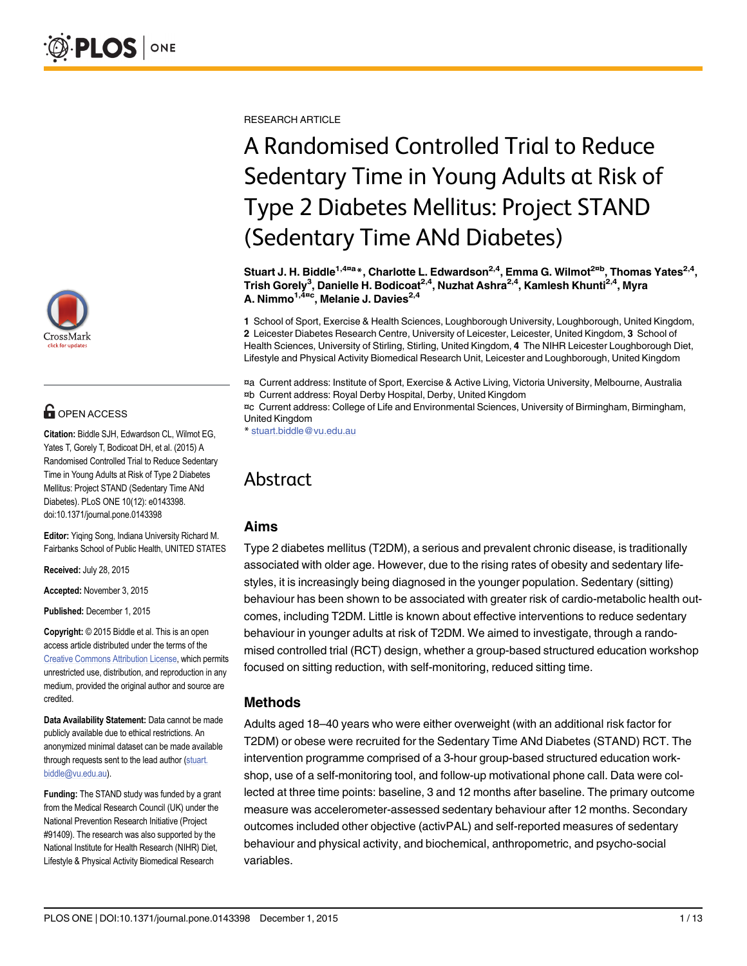

## **G** OPEN ACCESS

Citation: Biddle SJH, Edwardson CL, Wilmot EG, Yates T, Gorely T, Bodicoat DH, et al. (2015) A Randomised Controlled Trial to Reduce Sedentary Time in Young Adults at Risk of Type 2 Diabetes Mellitus: Project STAND (Sedentary Time ANd Diabetes). PLoS ONE 10(12): e0143398. doi:10.1371/journal.pone.0143398

Editor: Yiqing Song, Indiana University Richard M. Fairbanks School of Public Health, UNITED STATES

Received: July 28, 2015

Accepted: November 3, 2015

Published: December 1, 2015

Copyright: © 2015 Biddle et al. This is an open access article distributed under the terms of the [Creative Commons Attribution License,](http://creativecommons.org/licenses/by/4.0/) which permits unrestricted use, distribution, and reproduction in any medium, provided the original author and source are credited.

Data Availability Statement: Data cannot be made publicly available due to ethical restrictions. An anonymized minimal dataset can be made available through requests sent to the lead author (stuart. biddle@vu.edu.au).

Funding: The STAND study was funded by a grant from the Medical Research Council (UK) under the National Prevention Research Initiative (Project #91409). The research was also supported by the National Institute for Health Research (NIHR) Diet, Lifestyle & Physical Activity Biomedical Research

RESEARCH ARTICLE

## A Randomised Controlled Trial to Reduce Sedentary Time in Young Adults at Risk of Type 2 Diabetes Mellitus: Project STAND (Sedentary Time ANd Diabetes)

Stuart J. H. Biddle<sup>1,4¤a</sup>\*, Charlotte L. Edwardson<sup>2,4</sup>, Emma G. Wilmot<sup>2¤b</sup>, Thomas Yates<sup>2,4</sup>, Trish Gorely<sup>3</sup>, Danielle H. Bodicoat<sup>2,4</sup>, Nuzhat Ashra<sup>2,4</sup>, Kamlesh Khunti<sup>2,4</sup>, Myra A. Nimmo<sup>1,4¤c</sup>, Melanie J. Davies<sup>2,4</sup>

1 School of Sport, Exercise & Health Sciences, Loughborough University, Loughborough, United Kingdom, 2 Leicester Diabetes Research Centre, University of Leicester, Leicester, United Kingdom, 3 School of Health Sciences, University of Stirling, Stirling, United Kingdom, 4 The NIHR Leicester Loughborough Diet, Lifestyle and Physical Activity Biomedical Research Unit, Leicester and Loughborough, United Kingdom

¤a Current address: Institute of Sport, Exercise & Active Living, Victoria University, Melbourne, Australia ¤b Current address: Royal Derby Hospital, Derby, United Kingdom

¤c Current address: College of Life and Environmental Sciences, University of Birmingham, Birmingham, United Kingdom

\* stuart.biddle@vu.edu.au

### Abstract

#### Aims

Type 2 diabetes mellitus (T2DM), a serious and prevalent chronic disease, is traditionally associated with older age. However, due to the rising rates of obesity and sedentary lifestyles, it is increasingly being diagnosed in the younger population. Sedentary (sitting) behaviour has been shown to be associated with greater risk of cardio-metabolic health outcomes, including T2DM. Little is known about effective interventions to reduce sedentary behaviour in younger adults at risk of T2DM. We aimed to investigate, through a randomised controlled trial (RCT) design, whether a group-based structured education workshop focused on sitting reduction, with self-monitoring, reduced sitting time.

#### Methods

Adults aged 18–40 years who were either overweight (with an additional risk factor for T2DM) or obese were recruited for the Sedentary Time ANd Diabetes (STAND) RCT. The intervention programme comprised of a 3-hour group-based structured education workshop, use of a self-monitoring tool, and follow-up motivational phone call. Data were collected at three time points: baseline, 3 and 12 months after baseline. The primary outcome measure was accelerometer-assessed sedentary behaviour after 12 months. Secondary outcomes included other objective (activPAL) and self-reported measures of sedentary behaviour and physical activity, and biochemical, anthropometric, and psycho-social variables.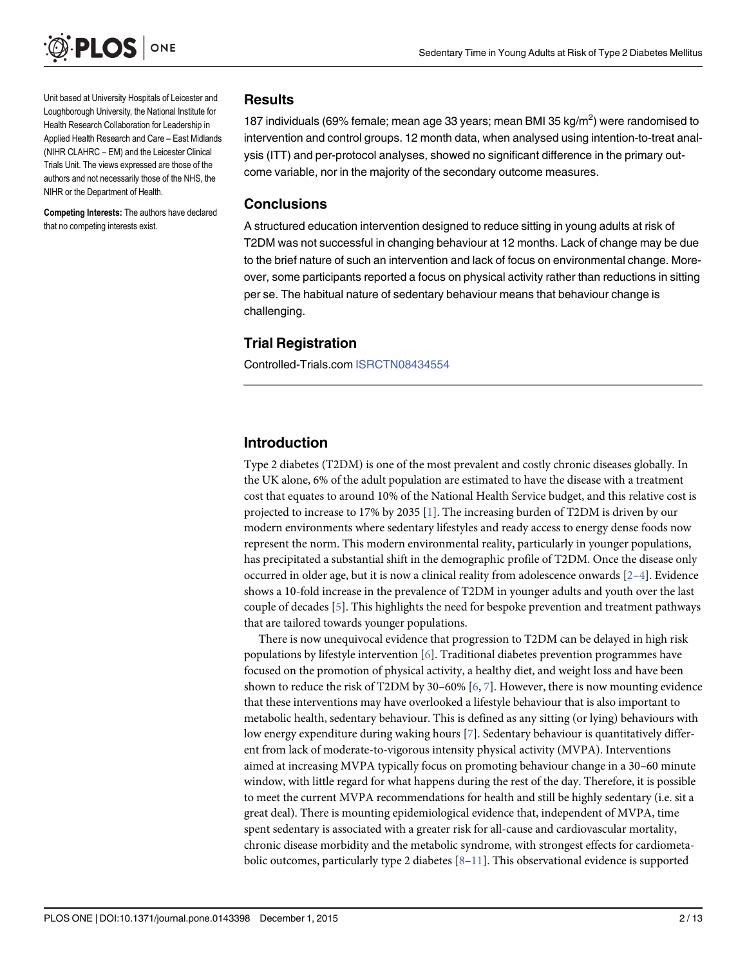<span id="page-2-0"></span>

Unit based at University Hospitals of Leicester and Loughborough University, the National Institute for Health Research Collaboration for Leadership in Applied Health Research and Care – East Midlands (NIHR CLAHRC – EM) and the Leicester Clinical Trials Unit. The views expressed are those of the authors and not necessarily those of the NHS, the NIHR or the Department of Health.

Competing Interests: The authors have declared that no competing interests exist.

#### Results

187 individuals (69% female; mean age 33 years; mean BMI 35 kg/m<sup>2</sup>) were randomised to intervention and control groups. 12 month data, when analysed using intention-to-treat analysis (ITT) and per-protocol analyses, showed no significant difference in the primary outcome variable, nor in the majority of the secondary outcome measures.

#### Conclusions

A structured education intervention designed to reduce sitting in young adults at risk of T2DM was not successful in changing behaviour at 12 months. Lack of change may be due to the brief nature of such an intervention and lack of focus on environmental change. Moreover, some participants reported a focus on physical activity rather than reductions in sitting per se. The habitual nature of sedentary behaviour means that behaviour change is challenging.

#### Trial Registration

Controlled-Trials.com [ISRCTN08434554](http://www.controlled-trials.com/ISRCTN08434554)

#### Introduction

Type 2 diabetes (T2DM) is one of the most prevalent and costly chronic diseases globally. In the UK alone, 6% of the adult population are estimated to have the disease with a treatment cost that equates to around 10% of the National Health Service budget, and this relative cost is projected to increase to 17% by 2035 [\[1\]](#page-11-0). The increasing burden of T2DM is driven by our modern environments where sedentary lifestyles and ready access to energy dense foods now represent the norm. This modern environmental reality, particularly in younger populations, has precipitated a substantial shift in the demographic profile of T2DM. Once the disease only occurred in older age, but it is now a clinical reality from adolescence onwards  $[2-4]$  $[2-4]$  $[2-4]$ . Evidence shows a 10-fold increase in the prevalence of T2DM in younger adults and youth over the last couple of decades  $[5]$  $[5]$ . This highlights the need for bespoke prevention and treatment pathways that are tailored towards younger populations.

There is now unequivocal evidence that progression to T2DM can be delayed in high risk populations by lifestyle intervention [\[6](#page-11-0)]. Traditional diabetes prevention programmes have focused on the promotion of physical activity, a healthy diet, and weight loss and have been shown to reduce the risk of T2DM by 30–60%  $[6, 7]$  $[6, 7]$  $[6, 7]$  $[6, 7]$ . However, there is now mounting evidence that these interventions may have overlooked a lifestyle behaviour that is also important to metabolic health, sedentary behaviour. This is defined as any sitting (or lying) behaviours with low energy expenditure during waking hours [\[7](#page-11-0)]. Sedentary behaviour is quantitatively different from lack of moderate-to-vigorous intensity physical activity (MVPA). Interventions aimed at increasing MVPA typically focus on promoting behaviour change in a 30–60 minute window, with little regard for what happens during the rest of the day. Therefore, it is possible to meet the current MVPA recommendations for health and still be highly sedentary (i.e. sit a great deal). There is mounting epidemiological evidence that, independent of MVPA, time spent sedentary is associated with a greater risk for all-cause and cardiovascular mortality, chronic disease morbidity and the metabolic syndrome, with strongest effects for cardiometabolic outcomes, particularly type 2 diabetes  $[8-11]$  $[8-11]$  $[8-11]$ . This observational evidence is supported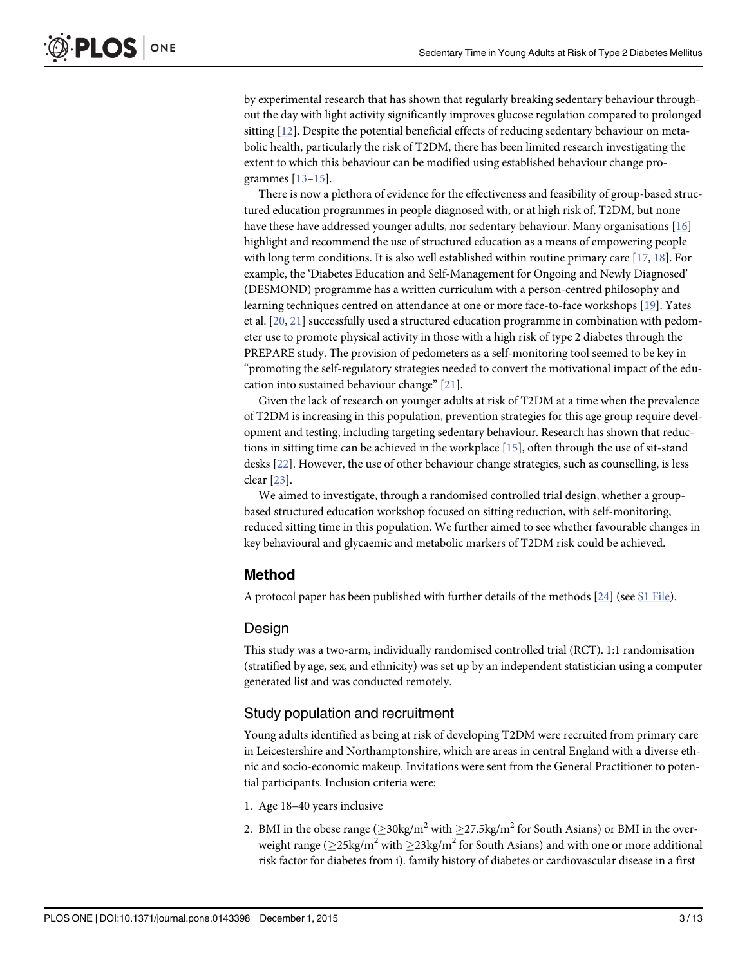<span id="page-3-0"></span>by experimental research that has shown that regularly breaking sedentary behaviour throughout the day with light activity significantly improves glucose regulation compared to prolonged sitting [[12](#page-11-0)]. Despite the potential beneficial effects of reducing sedentary behaviour on metabolic health, particularly the risk of T2DM, there has been limited research investigating the extent to which this behaviour can be modified using established behaviour change programmes  $[13-15]$  $[13-15]$  $[13-15]$ .

There is now a plethora of evidence for the effectiveness and feasibility of group-based structured education programmes in people diagnosed with, or at high risk of, T2DM, but none have these have addressed younger adults, nor sedentary behaviour. Many organisations [\[16\]](#page-12-0) highlight and recommend the use of structured education as a means of empowering people with long term conditions. It is also well established within routine primary care [[17](#page-12-0), [18](#page-12-0)]. For example, the 'Diabetes Education and Self-Management for Ongoing and Newly Diagnosed' (DESMOND) programme has a written curriculum with a person-centred philosophy and learning techniques centred on attendance at one or more face-to-face workshops [\[19\]](#page-12-0). Yates et al. [[20,](#page-12-0) [21](#page-12-0)] successfully used a structured education programme in combination with pedometer use to promote physical activity in those with a high risk of type 2 diabetes through the PREPARE study. The provision of pedometers as a self-monitoring tool seemed to be key in "promoting the self-regulatory strategies needed to convert the motivational impact of the education into sustained behaviour change" [\[21\]](#page-12-0).

Given the lack of research on younger adults at risk of T2DM at a time when the prevalence of T2DM is increasing in this population, prevention strategies for this age group require development and testing, including targeting sedentary behaviour. Research has shown that reductions in sitting time can be achieved in the workplace [\[15\]](#page-12-0), often through the use of sit-stand desks [\[22\]](#page-12-0). However, the use of other behaviour change strategies, such as counselling, is less clear [[23](#page-12-0)].

We aimed to investigate, through a randomised controlled trial design, whether a groupbased structured education workshop focused on sitting reduction, with self-monitoring, reduced sitting time in this population. We further aimed to see whether favourable changes in key behavioural and glycaemic and metabolic markers of T2DM risk could be achieved.

#### Method

A protocol paper has been published with further details of the methods  $[24]$  (see [S1 File](#page-10-0)).

#### Design

This study was a two-arm, individually randomised controlled trial (RCT). 1:1 randomisation (stratified by age, sex, and ethnicity) was set up by an independent statistician using a computer generated list and was conducted remotely.

#### Study population and recruitment

Young adults identified as being at risk of developing T2DM were recruited from primary care in Leicestershire and Northamptonshire, which are areas in central England with a diverse ethnic and socio-economic makeup. Invitations were sent from the General Practitioner to potential participants. Inclusion criteria were:

- 1. Age 18–40 years inclusive
- 2. BMI in the obese range  $(\geq 30 \text{kg/m}^2 \text{ with } \geq 27.5 \text{kg/m}^2 \text{ for South Asians})$  or BMI in the overweight range ( $\geq$ 25kg/m<sup>2</sup> with  $\geq$ 23kg/m<sup>2</sup> for South Asians) and with one or more additional risk factor for diabetes from i). family history of diabetes or cardiovascular disease in a first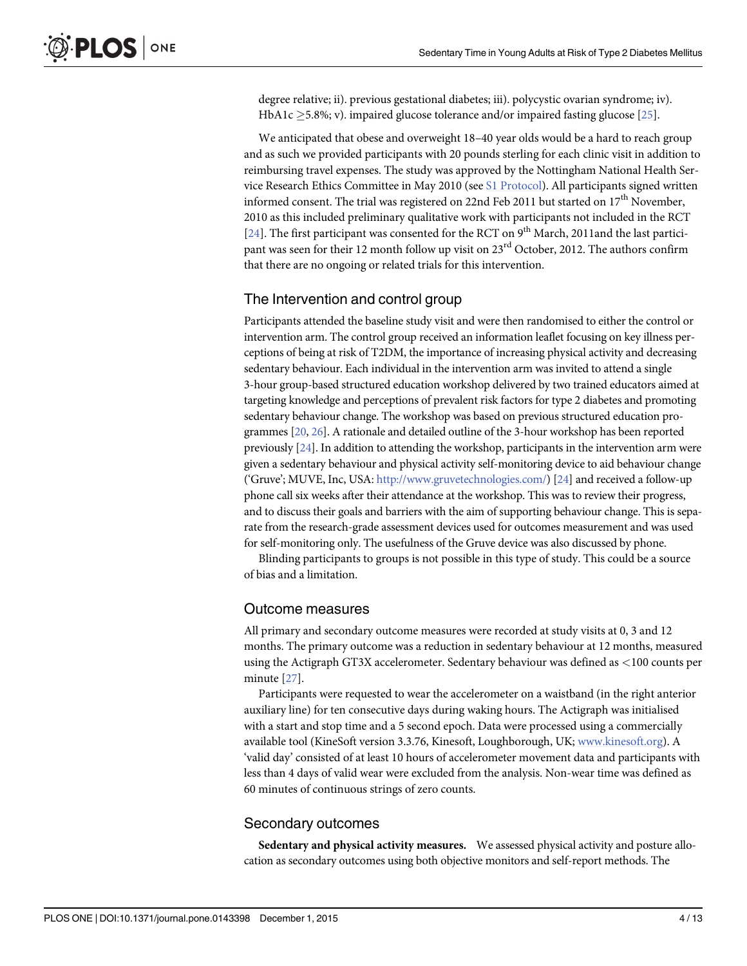<span id="page-4-0"></span>degree relative; ii). previous gestational diabetes; iii). polycystic ovarian syndrome; iv). HbA1c  $\geq$ 5.8%; v). impaired glucose tolerance and/or impaired fasting glucose [[25](#page-12-0)].

We anticipated that obese and overweight 18–40 year olds would be a hard to reach group and as such we provided participants with 20 pounds sterling for each clinic visit in addition to reimbursing travel expenses. The study was approved by the Nottingham National Health Service Research Ethics Committee in May 2010 (see [S1 Protocol](#page-10-0)). All participants signed written informed consent. The trial was registered on 22nd Feb 2011 but started on  $17<sup>th</sup>$  November, 2010 as this included preliminary qualitative work with participants not included in the RCT [\[24](#page-12-0)]. The first participant was consented for the RCT on 9<sup>th</sup> March, 2011and the last participant was seen for their 12 month follow up visit on 23<sup>rd</sup> October, 2012. The authors confirm that there are no ongoing or related trials for this intervention.

#### The Intervention and control group

Participants attended the baseline study visit and were then randomised to either the control or intervention arm. The control group received an information leaflet focusing on key illness perceptions of being at risk of T2DM, the importance of increasing physical activity and decreasing sedentary behaviour. Each individual in the intervention arm was invited to attend a single 3-hour group-based structured education workshop delivered by two trained educators aimed at targeting knowledge and perceptions of prevalent risk factors for type 2 diabetes and promoting sedentary behaviour change. The workshop was based on previous structured education programmes [[20](#page-12-0), [26\]](#page-12-0). A rationale and detailed outline of the 3-hour workshop has been reported previously [[24](#page-12-0)]. In addition to attending the workshop, participants in the intervention arm were given a sedentary behaviour and physical activity self-monitoring device to aid behaviour change ('Gruve'; MUVE, Inc, USA: <http://www.gruvetechnologies.com/>) [\[24](#page-12-0)] and received a follow-up phone call six weeks after their attendance at the workshop. This was to review their progress, and to discuss their goals and barriers with the aim of supporting behaviour change. This is separate from the research-grade assessment devices used for outcomes measurement and was used for self-monitoring only. The usefulness of the Gruve device was also discussed by phone.

Blinding participants to groups is not possible in this type of study. This could be a source of bias and a limitation.

#### Outcome measures

All primary and secondary outcome measures were recorded at study visits at 0, 3 and 12 months. The primary outcome was a reduction in sedentary behaviour at 12 months, measured using the Actigraph GT3X accelerometer. Sedentary behaviour was defined as <100 counts per minute [\[27\]](#page-12-0).

Participants were requested to wear the accelerometer on a waistband (in the right anterior auxiliary line) for ten consecutive days during waking hours. The Actigraph was initialised with a start and stop time and a 5 second epoch. Data were processed using a commercially available tool (KineSoft version 3.3.76, Kinesoft, Loughborough, UK; [www.kinesoft.org](http://www.kinesoft.org)). A 'valid day' consisted of at least 10 hours of accelerometer movement data and participants with less than 4 days of valid wear were excluded from the analysis. Non-wear time was defined as 60 minutes of continuous strings of zero counts.

#### Secondary outcomes

Sedentary and physical activity measures. We assessed physical activity and posture allocation as secondary outcomes using both objective monitors and self-report methods. The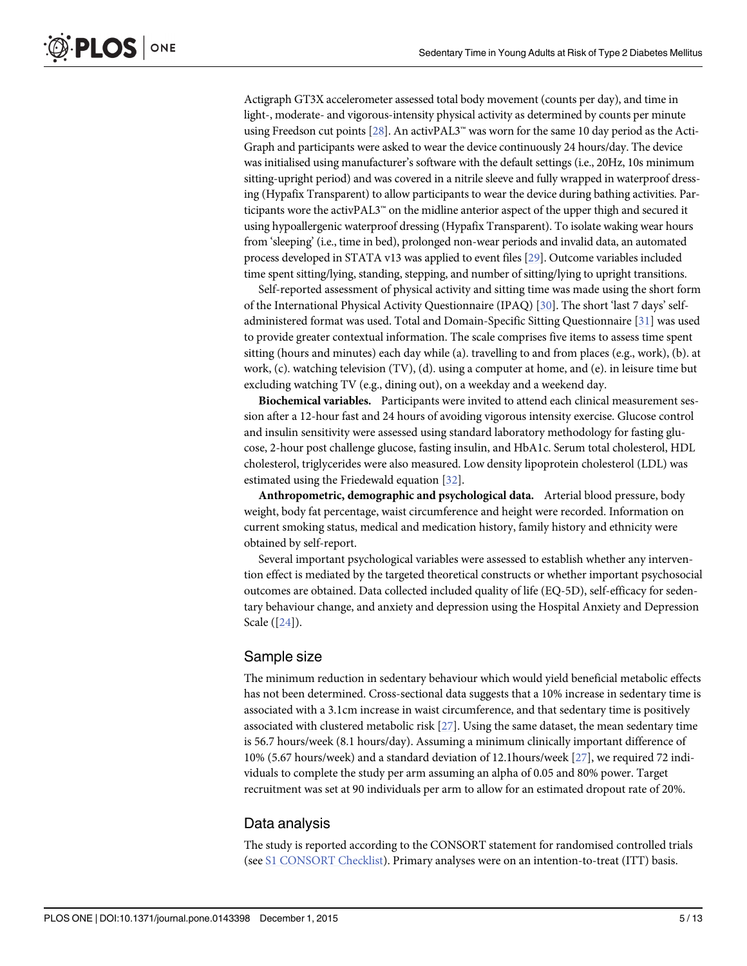<span id="page-5-0"></span>Actigraph GT3X accelerometer assessed total body movement (counts per day), and time in light-, moderate- and vigorous-intensity physical activity as determined by counts per minute using Freedson cut points  $[28]$ . An activPAL3<sup>™</sup> was worn for the same 10 day period as the Acti-Graph and participants were asked to wear the device continuously 24 hours/day. The device was initialised using manufacturer's software with the default settings (i.e., 20Hz, 10s minimum sitting-upright period) and was covered in a nitrile sleeve and fully wrapped in waterproof dressing (Hypafix Transparent) to allow participants to wear the device during bathing activities. Participants wore the activPAL3™ on the midline anterior aspect of the upper thigh and secured it using hypoallergenic waterproof dressing (Hypafix Transparent). To isolate waking wear hours from 'sleeping' (i.e., time in bed), prolonged non-wear periods and invalid data, an automated process developed in STATA v13 was applied to event files [\[29](#page-12-0)]. Outcome variables included time spent sitting/lying, standing, stepping, and number of sitting/lying to upright transitions.

Self-reported assessment of physical activity and sitting time was made using the short form of the International Physical Activity Questionnaire (IPAQ) [[30](#page-12-0)]. The short 'last 7 days' selfadministered format was used. Total and Domain-Specific Sitting Questionnaire [[31](#page-12-0)] was used to provide greater contextual information. The scale comprises five items to assess time spent sitting (hours and minutes) each day while (a). travelling to and from places (e.g., work), (b). at work, (c). watching television (TV), (d). using a computer at home, and (e). in leisure time but excluding watching TV (e.g., dining out), on a weekday and a weekend day.

Biochemical variables. Participants were invited to attend each clinical measurement session after a 12-hour fast and 24 hours of avoiding vigorous intensity exercise. Glucose control and insulin sensitivity were assessed using standard laboratory methodology for fasting glucose, 2-hour post challenge glucose, fasting insulin, and HbA1c. Serum total cholesterol, HDL cholesterol, triglycerides were also measured. Low density lipoprotein cholesterol (LDL) was estimated using the Friedewald equation [[32](#page-12-0)].

Anthropometric, demographic and psychological data. Arterial blood pressure, body weight, body fat percentage, waist circumference and height were recorded. Information on current smoking status, medical and medication history, family history and ethnicity were obtained by self-report.

Several important psychological variables were assessed to establish whether any intervention effect is mediated by the targeted theoretical constructs or whether important psychosocial outcomes are obtained. Data collected included quality of life (EQ-5D), self-efficacy for sedentary behaviour change, and anxiety and depression using the Hospital Anxiety and Depression Scale ([[24\]](#page-12-0)).

#### Sample size

The minimum reduction in sedentary behaviour which would yield beneficial metabolic effects has not been determined. Cross-sectional data suggests that a 10% increase in sedentary time is associated with a 3.1cm increase in waist circumference, and that sedentary time is positively associated with clustered metabolic risk  $[27]$  $[27]$ . Using the same dataset, the mean sedentary time is 56.7 hours/week (8.1 hours/day). Assuming a minimum clinically important difference of 10% (5.67 hours/week) and a standard deviation of 12.1hours/week [[27](#page-12-0)], we required 72 individuals to complete the study per arm assuming an alpha of 0.05 and 80% power. Target recruitment was set at 90 individuals per arm to allow for an estimated dropout rate of 20%.

#### Data analysis

The study is reported according to the CONSORT statement for randomised controlled trials (see [S1 CONSORT Checklist](#page-10-0)). Primary analyses were on an intention-to-treat (ITT) basis.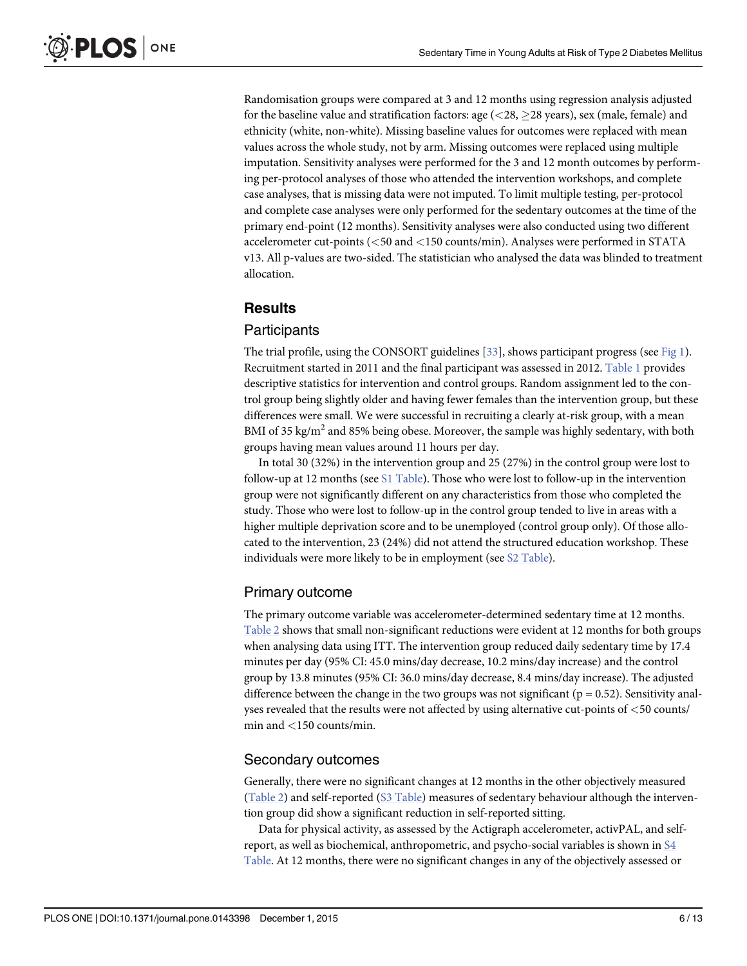<span id="page-6-0"></span>Randomisation groups were compared at 3 and 12 months using regression analysis adjusted for the baseline value and stratification factors: age  $\langle$  <28,  $\geq$ 28 years), sex (male, female) and ethnicity (white, non-white). Missing baseline values for outcomes were replaced with mean values across the whole study, not by arm. Missing outcomes were replaced using multiple imputation. Sensitivity analyses were performed for the 3 and 12 month outcomes by performing per-protocol analyses of those who attended the intervention workshops, and complete case analyses, that is missing data were not imputed. To limit multiple testing, per-protocol and complete case analyses were only performed for the sedentary outcomes at the time of the primary end-point (12 months). Sensitivity analyses were also conducted using two different accelerometer cut-points (<50 and <150 counts/min). Analyses were performed in STATA v13. All p-values are two-sided. The statistician who analysed the data was blinded to treatment allocation.

#### **Results**

#### **Participants**

The trial profile, using the CONSORT guidelines  $[33]$  $[33]$  $[33]$ , shows participant progress (see [Fig 1\)](#page-7-0). Recruitment started in 2011 and the final participant was assessed in 2012. [Table 1](#page-8-0) provides descriptive statistics for intervention and control groups. Random assignment led to the control group being slightly older and having fewer females than the intervention group, but these differences were small. We were successful in recruiting a clearly at-risk group, with a mean BMI of 35 kg/m<sup>2</sup> and 85% being obese. Moreover, the sample was highly sedentary, with both groups having mean values around 11 hours per day.

In total 30 (32%) in the intervention group and 25 (27%) in the control group were lost to follow-up at 12 months (see [S1 Table\)](#page-10-0). Those who were lost to follow-up in the intervention group were not significantly different on any characteristics from those who completed the study. Those who were lost to follow-up in the control group tended to live in areas with a higher multiple deprivation score and to be unemployed (control group only). Of those allocated to the intervention, 23 (24%) did not attend the structured education workshop. These individuals were more likely to be in employment (see S<sub>2</sub> Table).

#### Primary outcome

The primary outcome variable was accelerometer-determined sedentary time at 12 months. [Table 2](#page-9-0) shows that small non-significant reductions were evident at 12 months for both groups when analysing data using ITT. The intervention group reduced daily sedentary time by 17.4 minutes per day (95% CI: 45.0 mins/day decrease, 10.2 mins/day increase) and the control group by 13.8 minutes (95% CI: 36.0 mins/day decrease, 8.4 mins/day increase). The adjusted difference between the change in the two groups was not significant ( $p = 0.52$ ). Sensitivity analyses revealed that the results were not affected by using alternative cut-points of <50 counts/ min and <150 counts/min.

#### Secondary outcomes

Generally, there were no significant changes at 12 months in the other objectively measured  $(Table 2)$  and self-reported  $(S3 Table)$  measures of sedentary behaviour although the intervention group did show a significant reduction in self-reported sitting.

Data for physical activity, as assessed by the Actigraph accelerometer, activPAL, and selfreport, as well as biochemical, anthropometric, and psycho-social variables is shown in [S4](#page-11-0) [Table](#page-11-0). At 12 months, there were no significant changes in any of the objectively assessed or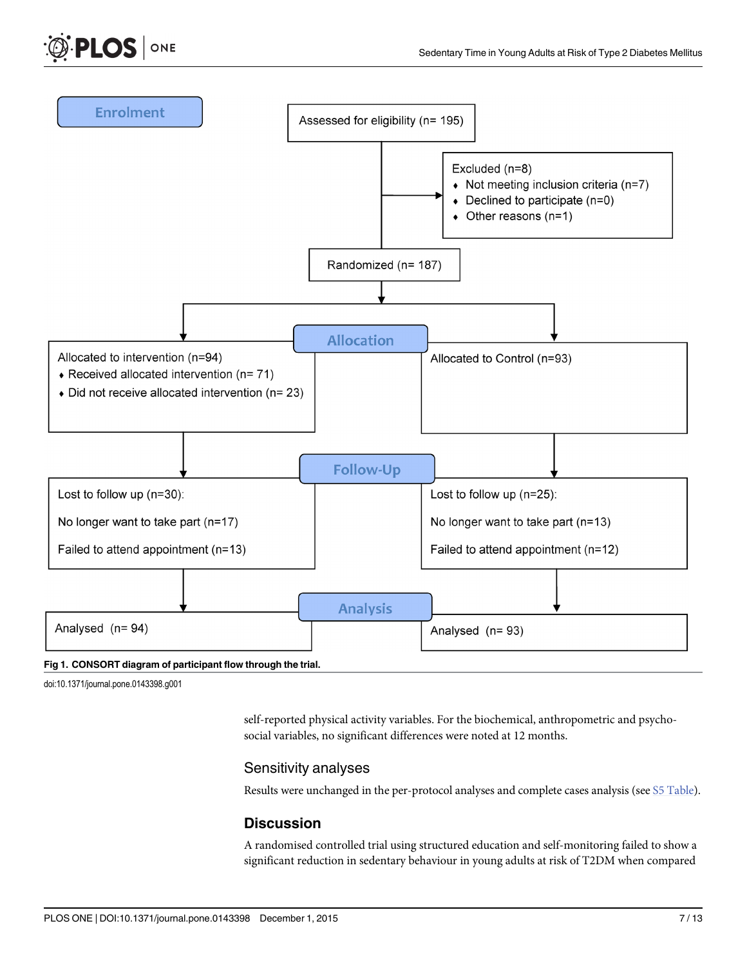<span id="page-7-0"></span>



#### [Fig 1. C](#page-6-0)ONSORT diagram of participant flow through the trial.

doi:10.1371/journal.pone.0143398.g001

self-reported physical activity variables. For the biochemical, anthropometric and psychosocial variables, no significant differences were noted at 12 months.

#### Sensitivity analyses

Results were unchanged in the per-protocol analyses and complete cases analysis (see [S5 Table\)](#page-11-0).

#### **Discussion**

A randomised controlled trial using structured education and self-monitoring failed to show a significant reduction in sedentary behaviour in young adults at risk of T2DM when compared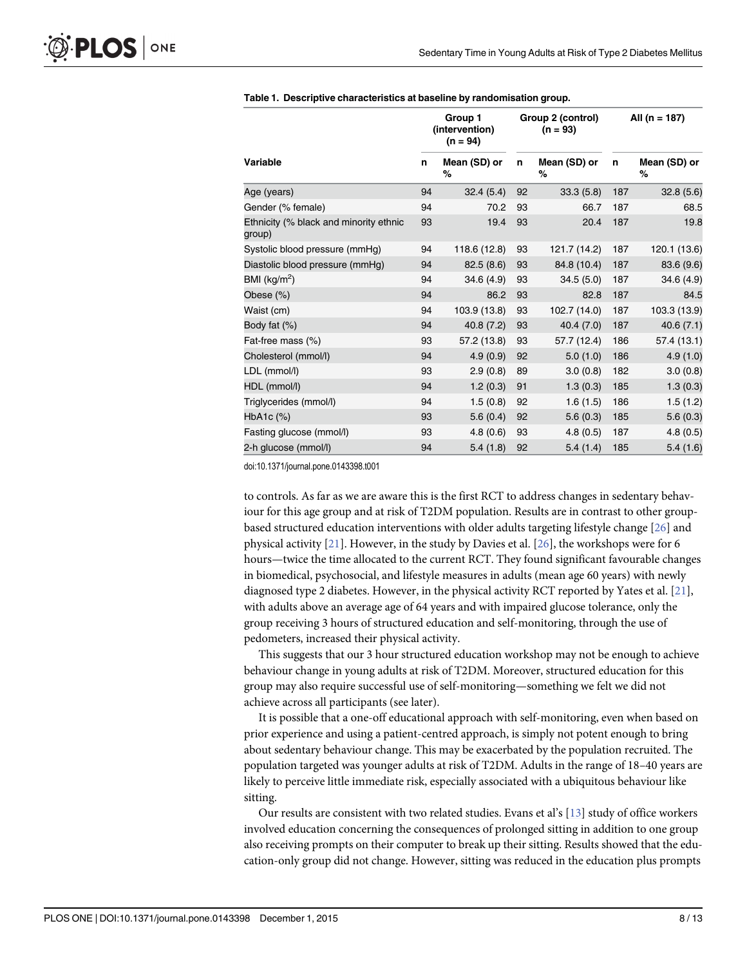<span id="page-8-0"></span>

| Variable                                         |    | Group 1<br>(intervention)<br>$(n = 94)$ |    | Group 2 (control)<br>$(n = 93)$ |     | All (n = 187)     |  |
|--------------------------------------------------|----|-----------------------------------------|----|---------------------------------|-----|-------------------|--|
|                                                  |    | Mean (SD) or<br>%                       | n  | Mean (SD) or<br>%               | n   | Mean (SD) or<br>% |  |
| Age (years)                                      | 94 | 32.4(5.4)                               | 92 | 33.3(5.8)                       | 187 | 32.8(5.6)         |  |
| Gender (% female)                                | 94 | 70.2                                    | 93 | 66.7                            | 187 | 68.5              |  |
| Ethnicity (% black and minority ethnic<br>group) | 93 | 19.4                                    | 93 | 20.4                            | 187 | 19.8              |  |
| Systolic blood pressure (mmHg)                   | 94 | 118.6 (12.8)                            | 93 | 121.7 (14.2)                    | 187 | 120.1 (13.6)      |  |
| Diastolic blood pressure (mmHg)                  | 94 | 82.5 (8.6)                              | 93 | 84.8 (10.4)                     | 187 | 83.6 (9.6)        |  |
| BMI $(kg/m2)$                                    | 94 | 34.6 (4.9)                              | 93 | 34.5(5.0)                       | 187 | 34.6 (4.9)        |  |
| Obese (%)                                        | 94 | 86.2                                    | 93 | 82.8                            | 187 | 84.5              |  |
| Waist (cm)                                       | 94 | 103.9 (13.8)                            | 93 | 102.7 (14.0)                    | 187 | 103.3 (13.9)      |  |
| Body fat (%)                                     | 94 | 40.8 (7.2)                              | 93 | 40.4 (7.0)                      | 187 | 40.6(7.1)         |  |
| Fat-free mass (%)                                | 93 | 57.2 (13.8)                             | 93 | 57.7 (12.4)                     | 186 | 57.4 (13.1)       |  |
| Cholesterol (mmol/l)                             | 94 | 4.9(0.9)                                | 92 | 5.0(1.0)                        | 186 | 4.9(1.0)          |  |
| LDL (mmol/l)                                     | 93 | 2.9(0.8)                                | 89 | 3.0(0.8)                        | 182 | 3.0(0.8)          |  |
| HDL (mmol/l)                                     | 94 | 1.2(0.3)                                | 91 | 1.3(0.3)                        | 185 | 1.3(0.3)          |  |
| Triglycerides (mmol/l)                           | 94 | 1.5(0.8)                                | 92 | 1.6(1.5)                        | 186 | 1.5(1.2)          |  |
| $HbA1c$ $(\%)$                                   | 93 | 5.6(0.4)                                | 92 | 5.6(0.3)                        | 185 | 5.6(0.3)          |  |
| Fasting glucose (mmol/l)                         | 93 | 4.8(0.6)                                | 93 | 4.8(0.5)                        | 187 | 4.8(0.5)          |  |
| 2-h glucose (mmol/l)                             | 94 | 5.4(1.8)                                | 92 | 5.4(1.4)                        | 185 | 5.4(1.6)          |  |

#### [Table 1.](#page-6-0) Descriptive characteristics at baseline by randomisation group.

doi:10.1371/journal.pone.0143398.t001

to controls. As far as we are aware this is the first RCT to address changes in sedentary behaviour for this age group and at risk of T2DM population. Results are in contrast to other groupbased structured education interventions with older adults targeting lifestyle change [[26](#page-12-0)] and physical activity  $[21]$ . However, in the study by Davies et al.  $[26]$  $[26]$  $[26]$ , the workshops were for 6 hours—twice the time allocated to the current RCT. They found significant favourable changes in biomedical, psychosocial, and lifestyle measures in adults (mean age 60 years) with newly diagnosed type 2 diabetes. However, in the physical activity RCT reported by Yates et al. [\[21\]](#page-12-0), with adults above an average age of 64 years and with impaired glucose tolerance, only the group receiving 3 hours of structured education and self-monitoring, through the use of pedometers, increased their physical activity.

This suggests that our 3 hour structured education workshop may not be enough to achieve behaviour change in young adults at risk of T2DM. Moreover, structured education for this group may also require successful use of self-monitoring—something we felt we did not achieve across all participants (see later).

It is possible that a one-off educational approach with self-monitoring, even when based on prior experience and using a patient-centred approach, is simply not potent enough to bring about sedentary behaviour change. This may be exacerbated by the population recruited. The population targeted was younger adults at risk of T2DM. Adults in the range of 18–40 years are likely to perceive little immediate risk, especially associated with a ubiquitous behaviour like sitting.

Our results are consistent with two related studies. Evans et al's [\[13\]](#page-11-0) study of office workers involved education concerning the consequences of prolonged sitting in addition to one group also receiving prompts on their computer to break up their sitting. Results showed that the education-only group did not change. However, sitting was reduced in the education plus prompts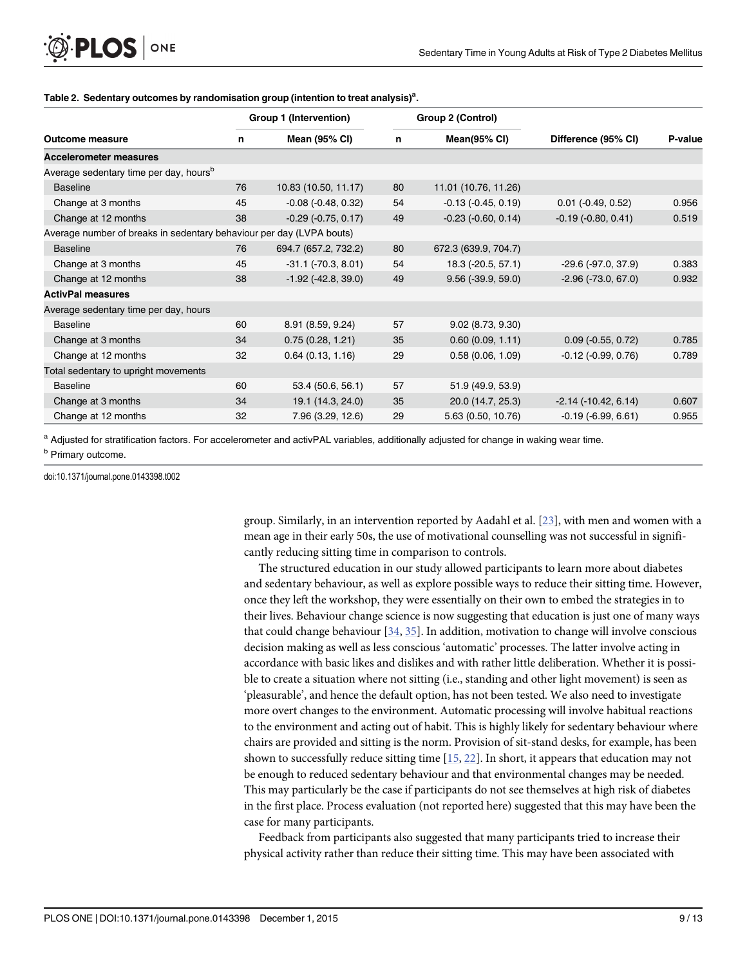|                                                                      |    | Group 1 (Intervention)    |    | Group 2 (Control)        | Difference (95% CI)         | P-value |
|----------------------------------------------------------------------|----|---------------------------|----|--------------------------|-----------------------------|---------|
| <b>Outcome measure</b>                                               | n  | <b>Mean (95% CI)</b>      | n  | <b>Mean(95% CI)</b>      |                             |         |
| <b>Accelerometer measures</b>                                        |    |                           |    |                          |                             |         |
| Average sedentary time per day, hours <sup>b</sup>                   |    |                           |    |                          |                             |         |
| <b>Baseline</b>                                                      | 76 | 10.83 (10.50, 11.17)      | 80 | 11.01 (10.76, 11.26)     |                             |         |
| Change at 3 months                                                   | 45 | $-0.08$ $(-0.48, 0.32)$   | 54 | $-0.13$ $(-0.45, 0.19)$  | $0.01$ (-0.49, 0.52)        | 0.956   |
| Change at 12 months                                                  | 38 | $-0.29$ $(-0.75, 0.17)$   | 49 | $-0.23$ $(-0.60, 0.14)$  | $-0.19$ $(-0.80, 0.41)$     | 0.519   |
| Average number of breaks in sedentary behaviour per day (LVPA bouts) |    |                           |    |                          |                             |         |
| <b>Baseline</b>                                                      | 76 | 694.7 (657.2, 732.2)      | 80 | 672.3 (639.9, 704.7)     |                             |         |
| Change at 3 months                                                   | 45 | $-31.1$ ( $-70.3$ , 8.01) | 54 | 18.3 (-20.5, 57.1)       | $-29.6(-97.0, 37.9)$        | 0.383   |
| Change at 12 months                                                  | 38 | $-1.92$ ( $-42.8, 39.0$ ) | 49 | $9.56$ ( $-39.9, 59.0$ ) | $-2.96$ $(-73.0, 67.0)$     | 0.932   |
| <b>ActivPal measures</b>                                             |    |                           |    |                          |                             |         |
| Average sedentary time per day, hours                                |    |                           |    |                          |                             |         |
| <b>Baseline</b>                                                      | 60 | 8.91 (8.59, 9.24)         | 57 | 9.02(8.73, 9.30)         |                             |         |
| Change at 3 months                                                   | 34 | 0.75(0.28, 1.21)          | 35 | 0.60(0.09, 1.11)         | $0.09$ ( $-0.55$ , $0.72$ ) | 0.785   |
| Change at 12 months                                                  | 32 | 0.64(0.13, 1.16)          | 29 | 0.58(0.06, 1.09)         | $-0.12$ $(-0.99, 0.76)$     | 0.789   |
| Total sedentary to upright movements                                 |    |                           |    |                          |                             |         |
| <b>Baseline</b>                                                      | 60 | 53.4 (50.6, 56.1)         | 57 | 51.9 (49.9, 53.9)        |                             |         |
| Change at 3 months                                                   | 34 | 19.1 (14.3, 24.0)         | 35 | 20.0 (14.7, 25.3)        | $-2.14$ ( $-10.42$ , 6.14)  | 0.607   |
| Change at 12 months                                                  | 32 | 7.96 (3.29, 12.6)         | 29 | 5.63 (0.50, 10.76)       | $-0.19$ $(-6.99, 6.61)$     | 0.955   |

#### <span id="page-9-0"></span>[Table 2.](#page-6-0) Sedentary outcomes by randomisation group (intention to treat analysis)<sup>a</sup>.

a Adjusted for stratification factors. For accelerometer and activPAL variables, additionally adjusted for change in waking wear time.

doi:10.1371/journal.pone.0143398.t002

group. Similarly, in an intervention reported by Aadahl et al. [[23](#page-12-0)], with men and women with a mean age in their early 50s, the use of motivational counselling was not successful in significantly reducing sitting time in comparison to controls.

The structured education in our study allowed participants to learn more about diabetes and sedentary behaviour, as well as explore possible ways to reduce their sitting time. However, once they left the workshop, they were essentially on their own to embed the strategies in to their lives. Behaviour change science is now suggesting that education is just one of many ways that could change behaviour  $[34, 35]$  $[34, 35]$  $[34, 35]$ . In addition, motivation to change will involve conscious decision making as well as less conscious 'automatic' processes. The latter involve acting in accordance with basic likes and dislikes and with rather little deliberation. Whether it is possible to create a situation where not sitting (i.e., standing and other light movement) is seen as 'pleasurable', and hence the default option, has not been tested. We also need to investigate more overt changes to the environment. Automatic processing will involve habitual reactions to the environment and acting out of habit. This is highly likely for sedentary behaviour where chairs are provided and sitting is the norm. Provision of sit-stand desks, for example, has been shown to successfully reduce sitting time [[15](#page-12-0), [22](#page-12-0)]. In short, it appears that education may not be enough to reduced sedentary behaviour and that environmental changes may be needed. This may particularly be the case if participants do not see themselves at high risk of diabetes in the first place. Process evaluation (not reported here) suggested that this may have been the case for many participants.

Feedback from participants also suggested that many participants tried to increase their physical activity rather than reduce their sitting time. This may have been associated with

**b** Primary outcome.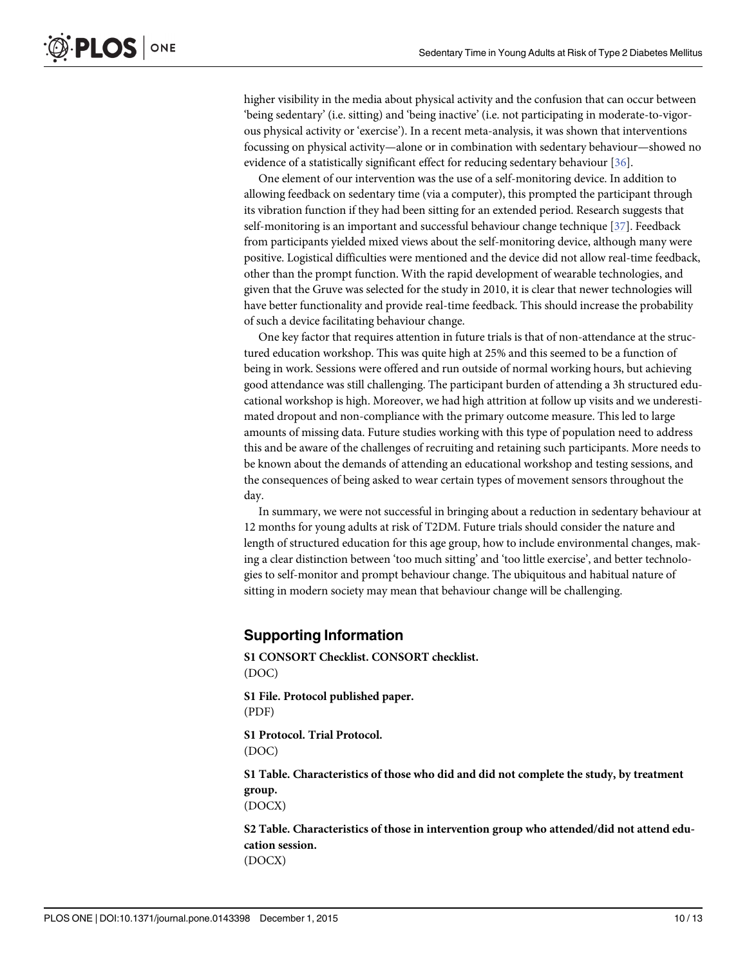<span id="page-10-0"></span>higher visibility in the media about physical activity and the confusion that can occur between 'being sedentary' (i.e. sitting) and 'being inactive' (i.e. not participating in moderate-to-vigorous physical activity or 'exercise'). In a recent meta-analysis, it was shown that interventions focussing on physical activity—alone or in combination with sedentary behaviour—showed no evidence of a statistically significant effect for reducing sedentary behaviour [[36\]](#page-13-0).

One element of our intervention was the use of a self-monitoring device. In addition to allowing feedback on sedentary time (via a computer), this prompted the participant through its vibration function if they had been sitting for an extended period. Research suggests that self-monitoring is an important and successful behaviour change technique [\[37](#page-13-0)]. Feedback from participants yielded mixed views about the self-monitoring device, although many were positive. Logistical difficulties were mentioned and the device did not allow real-time feedback, other than the prompt function. With the rapid development of wearable technologies, and given that the Gruve was selected for the study in 2010, it is clear that newer technologies will have better functionality and provide real-time feedback. This should increase the probability of such a device facilitating behaviour change.

One key factor that requires attention in future trials is that of non-attendance at the structured education workshop. This was quite high at 25% and this seemed to be a function of being in work. Sessions were offered and run outside of normal working hours, but achieving good attendance was still challenging. The participant burden of attending a 3h structured educational workshop is high. Moreover, we had high attrition at follow up visits and we underestimated dropout and non-compliance with the primary outcome measure. This led to large amounts of missing data. Future studies working with this type of population need to address this and be aware of the challenges of recruiting and retaining such participants. More needs to be known about the demands of attending an educational workshop and testing sessions, and the consequences of being asked to wear certain types of movement sensors throughout the day.

In summary, we were not successful in bringing about a reduction in sedentary behaviour at 12 months for young adults at risk of T2DM. Future trials should consider the nature and length of structured education for this age group, how to include environmental changes, making a clear distinction between 'too much sitting' and 'too little exercise', and better technologies to self-monitor and prompt behaviour change. The ubiquitous and habitual nature of sitting in modern society may mean that behaviour change will be challenging.

#### Supporting Information

[S1 CONSORT Checklist.](http://www.plosone.org/article/fetchSingleRepresentation.action?uri=info:doi/10.1371/journal.pone.0143398.s001) CONSORT checklist. (DOC)

[S1 File.](http://www.plosone.org/article/fetchSingleRepresentation.action?uri=info:doi/10.1371/journal.pone.0143398.s002) Protocol published paper. (PDF)

[S1 Protocol.](http://www.plosone.org/article/fetchSingleRepresentation.action?uri=info:doi/10.1371/journal.pone.0143398.s003) Trial Protocol. (DOC)

[S1 Table](http://www.plosone.org/article/fetchSingleRepresentation.action?uri=info:doi/10.1371/journal.pone.0143398.s004). Characteristics of those who did and did not complete the study, by treatment group.

(DOCX)

[S2 Table](http://www.plosone.org/article/fetchSingleRepresentation.action?uri=info:doi/10.1371/journal.pone.0143398.s005). Characteristics of those in intervention group who attended/did not attend education session. (DOCX)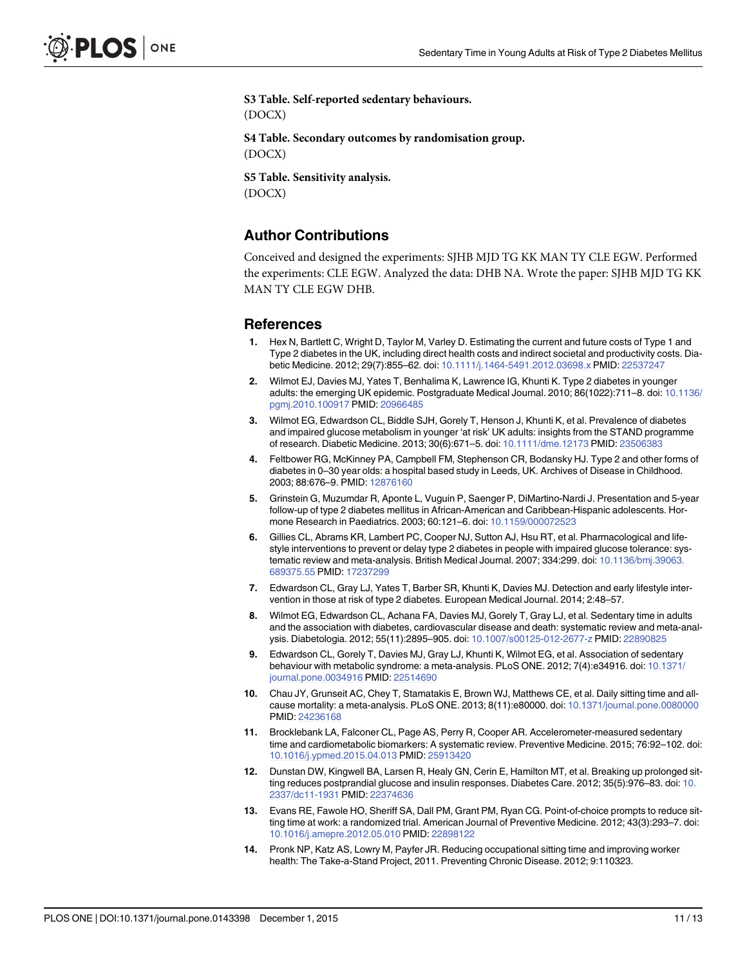<span id="page-11-0"></span>[S3 Table](http://www.plosone.org/article/fetchSingleRepresentation.action?uri=info:doi/10.1371/journal.pone.0143398.s006). Self-reported sedentary behaviours. (DOCX) [S4 Table](http://www.plosone.org/article/fetchSingleRepresentation.action?uri=info:doi/10.1371/journal.pone.0143398.s007). Secondary outcomes by randomisation group. (DOCX) [S5 Table](http://www.plosone.org/article/fetchSingleRepresentation.action?uri=info:doi/10.1371/journal.pone.0143398.s008). Sensitivity analysis. (DOCX)

#### Author Contributions

Conceived and designed the experiments: SJHB MJD TG KK MAN TY CLE EGW. Performed the experiments: CLE EGW. Analyzed the data: DHB NA. Wrote the paper: SJHB MJD TG KK MAN TY CLE EGW DHB.

#### References

- [1.](#page-2-0) Hex N, Bartlett C, Wright D, Taylor M, Varley D. Estimating the current and future costs of Type 1 and Type 2 diabetes in the UK, including direct health costs and indirect societal and productivity costs. Diabetic Medicine. 2012; 29(7):855–62. doi: [10.1111/j.1464-5491.2012.03698.x](http://dx.doi.org/10.1111/j.1464-5491.2012.03698.x) PMID: [22537247](http://www.ncbi.nlm.nih.gov/pubmed/22537247)
- [2.](#page-2-0) Wilmot EJ, Davies MJ, Yates T, Benhalima K, Lawrence IG, Khunti K. Type 2 diabetes in younger adults: the emerging UK epidemic. Postgraduate Medical Journal. 2010; 86(1022):711–8. doi: [10.1136/](http://dx.doi.org/10.1136/pgmj.2010.100917) [pgmj.2010.100917](http://dx.doi.org/10.1136/pgmj.2010.100917) PMID: [20966485](http://www.ncbi.nlm.nih.gov/pubmed/20966485)
- 3. Wilmot EG, Edwardson CL, Biddle SJH, Gorely T, Henson J, Khunti K, et al. Prevalence of diabetes and impaired glucose metabolism in younger 'at risk' UK adults: insights from the STAND programme of research. Diabetic Medicine. 2013; 30(6):671–5. doi: [10.1111/dme.12173](http://dx.doi.org/10.1111/dme.12173) PMID: [23506383](http://www.ncbi.nlm.nih.gov/pubmed/23506383)
- [4.](#page-2-0) Feltbower RG, McKinney PA, Campbell FM, Stephenson CR, Bodansky HJ. Type 2 and other forms of diabetes in 0–30 year olds: a hospital based study in Leeds, UK. Archives of Disease in Childhood. 2003; 88:676–9. PMID: [12876160](http://www.ncbi.nlm.nih.gov/pubmed/12876160)
- [5.](#page-2-0) Grinstein G, Muzumdar R, Aponte L, Vuguin P, Saenger P, DiMartino-Nardi J. Presentation and 5-year follow-up of type 2 diabetes mellitus in African-American and Caribbean-Hispanic adolescents. Hormone Research in Paediatrics. 2003; 60:121–6. doi: [10.1159/000072523](http://dx.doi.org/10.1159/000072523)
- [6.](#page-2-0) Gillies CL, Abrams KR, Lambert PC, Cooper NJ, Sutton AJ, Hsu RT, et al. Pharmacological and lifestyle interventions to prevent or delay type 2 diabetes in people with impaired glucose tolerance: systematic review and meta-analysis. British Medical Journal. 2007; 334:299. doi: [10.1136/bmj.39063.](http://dx.doi.org/10.1136/bmj.39063.689375.55) [689375.55](http://dx.doi.org/10.1136/bmj.39063.689375.55) PMID: [17237299](http://www.ncbi.nlm.nih.gov/pubmed/17237299)
- [7.](#page-2-0) Edwardson CL, Gray LJ, Yates T, Barber SR, Khunti K, Davies MJ. Detection and early lifestyle intervention in those at risk of type 2 diabetes. European Medical Journal. 2014; 2:48–57.
- [8.](#page-2-0) Wilmot EG, Edwardson CL, Achana FA, Davies MJ, Gorely T, Gray LJ, et al. Sedentary time in adults and the association with diabetes, cardiovascular disease and death: systematic review and meta-analysis. Diabetologia. 2012; 55(11):2895–905. doi: [10.1007/s00125-012-2677-z](http://dx.doi.org/10.1007/s00125-012-2677-z) PMID: [22890825](http://www.ncbi.nlm.nih.gov/pubmed/22890825)
- 9. Edwardson CL, Gorely T, Davies MJ, Gray LJ, Khunti K, Wilmot EG, et al. Association of sedentary behaviour with metabolic syndrome: a meta-analysis. PLoS ONE. 2012; 7(4):e34916. doi: [10.1371/](http://dx.doi.org/10.1371/journal.pone.0034916) [journal.pone.0034916](http://dx.doi.org/10.1371/journal.pone.0034916) PMID: [22514690](http://www.ncbi.nlm.nih.gov/pubmed/22514690)
- 10. Chau JY, Grunseit AC, Chey T, Stamatakis E, Brown WJ, Matthews CE, et al. Daily sitting time and allcause mortality: a meta-analysis. PLoS ONE. 2013; 8(11):e80000. doi: [10.1371/journal.pone.0080000](http://dx.doi.org/10.1371/journal.pone.0080000) PMID: [24236168](http://www.ncbi.nlm.nih.gov/pubmed/24236168)
- [11.](#page-2-0) Brocklebank LA, Falconer CL, Page AS, Perry R, Cooper AR. Accelerometer-measured sedentary time and cardiometabolic biomarkers: A systematic review. Preventive Medicine. 2015; 76:92–102. doi: [10.1016/j.ypmed.2015.04.013](http://dx.doi.org/10.1016/j.ypmed.2015.04.013) PMID: [25913420](http://www.ncbi.nlm.nih.gov/pubmed/25913420)
- [12.](#page-3-0) Dunstan DW, Kingwell BA, Larsen R, Healy GN, Cerin E, Hamilton MT, et al. Breaking up prolonged sit-ting reduces postprandial glucose and insulin responses. Diabetes Care. 2012; 35(5):976-83. doi: [10.](http://dx.doi.org/10.2337/dc11-1931) [2337/dc11-1931](http://dx.doi.org/10.2337/dc11-1931) PMID: [22374636](http://www.ncbi.nlm.nih.gov/pubmed/22374636)
- [13.](#page-3-0) Evans RE, Fawole HO, Sheriff SA, Dall PM, Grant PM, Ryan CG. Point-of-choice prompts to reduce sitting time at work: a randomized trial. American Journal of Preventive Medicine. 2012; 43(3):293–7. doi: [10.1016/j.amepre.2012.05.010](http://dx.doi.org/10.1016/j.amepre.2012.05.010) PMID: [22898122](http://www.ncbi.nlm.nih.gov/pubmed/22898122)
- 14. Pronk NP, Katz AS, Lowry M, Payfer JR. Reducing occupational sitting time and improving worker health: The Take-a-Stand Project, 2011. Preventing Chronic Disease. 2012; 9:110323.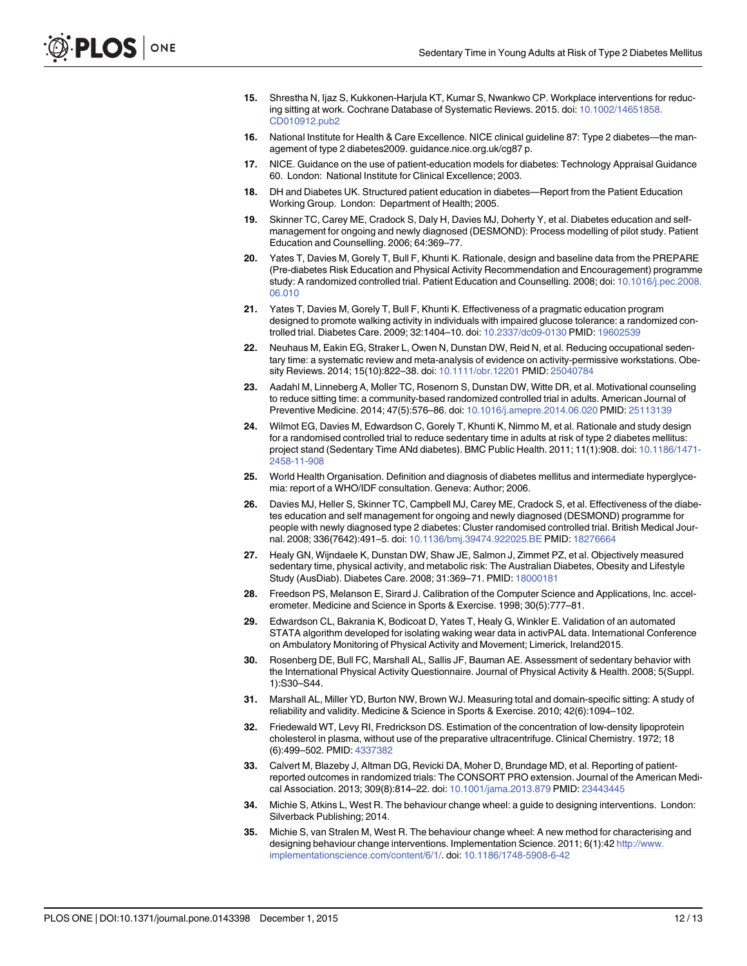- <span id="page-12-0"></span>[15.](#page-3-0) Shrestha N, Ijaz S, Kukkonen-Harjula KT, Kumar S, Nwankwo CP. Workplace interventions for reducing sitting at work. Cochrane Database of Systematic Reviews. 2015. doi: [10.1002/14651858.](http://dx.doi.org/10.1002/14651858.CD010912.pub2) [CD010912.pub2](http://dx.doi.org/10.1002/14651858.CD010912.pub2)
- [16.](#page-3-0) National Institute for Health & Care Excellence. NICE clinical guideline 87: Type 2 diabetes—the management of type 2 diabetes2009. guidance.nice.org.uk/cg87 p.
- [17.](#page-3-0) NICE. Guidance on the use of patient-education models for diabetes: Technology Appraisal Guidance 60. London: National Institute for Clinical Excellence; 2003.
- [18.](#page-3-0) DH and Diabetes UK. Structured patient education in diabetes—Report from the Patient Education Working Group. London: Department of Health; 2005.
- [19.](#page-3-0) Skinner TC, Carey ME, Cradock S, Daly H, Davies MJ, Doherty Y, et al. Diabetes education and selfmanagement for ongoing and newly diagnosed (DESMOND): Process modelling of pilot study. Patient Education and Counselling. 2006; 64:369–77.
- [20.](#page-3-0) Yates T, Davies M, Gorely T, Bull F, Khunti K. Rationale, design and baseline data from the PREPARE (Pre-diabetes Risk Education and Physical Activity Recommendation and Encouragement) programme study: A randomized controlled trial. Patient Education and Counselling. 2008; doi: [10.1016/j.pec.2008.](http://dx.doi.org/10.1016/j.pec.2008.06.010) [06.010](http://dx.doi.org/10.1016/j.pec.2008.06.010)
- [21.](#page-3-0) Yates T, Davies M, Gorely T, Bull F, Khunti K. Effectiveness of a pragmatic education program designed to promote walking activity in individuals with impaired glucose tolerance: a randomized controlled trial. Diabetes Care. 2009; 32:1404–10. doi: [10.2337/dc09-0130](http://dx.doi.org/10.2337/dc09-0130) PMID: [19602539](http://www.ncbi.nlm.nih.gov/pubmed/19602539)
- [22.](#page-3-0) Neuhaus M, Eakin EG, Straker L, Owen N, Dunstan DW, Reid N, et al. Reducing occupational sedentary time: a systematic review and meta-analysis of evidence on activity-permissive workstations. Obe-sity Reviews. 2014; 15(10):822-38. doi: [10.1111/obr.12201](http://dx.doi.org/10.1111/obr.12201) PMID: [25040784](http://www.ncbi.nlm.nih.gov/pubmed/25040784)
- [23.](#page-3-0) Aadahl M, Linneberg A, Moller TC, Rosenorn S, Dunstan DW, Witte DR, et al. Motivational counseling to reduce sitting time: a community-based randomized controlled trial in adults. American Journal of Preventive Medicine. 2014; 47(5):576–86. doi: [10.1016/j.amepre.2014.06.020](http://dx.doi.org/10.1016/j.amepre.2014.06.020) PMID: [25113139](http://www.ncbi.nlm.nih.gov/pubmed/25113139)
- [24.](#page-3-0) Wilmot EG, Davies M, Edwardson C, Gorely T, Khunti K, Nimmo M, et al. Rationale and study design for a randomised controlled trial to reduce sedentary time in adults at risk of type 2 diabetes mellitus: project stand (Sedentary Time ANd diabetes). BMC Public Health. 2011; 11(1):908. doi: [10.1186/1471-](http://dx.doi.org/10.1186/1471-2458-11-908) [2458-11-908](http://dx.doi.org/10.1186/1471-2458-11-908)
- [25.](#page-4-0) World Health Organisation. Definition and diagnosis of diabetes mellitus and intermediate hyperglycemia: report of a WHO/IDF consultation. Geneva: Author; 2006.
- [26.](#page-4-0) Davies MJ, Heller S, Skinner TC, Campbell MJ, Carey ME, Cradock S, et al. Effectiveness of the diabetes education and self management for ongoing and newly diagnosed (DESMOND) programme for people with newly diagnosed type 2 diabetes: Cluster randomised controlled trial. British Medical Journal. 2008; 336(7642):491–5. doi: [10.1136/bmj.39474.922025.BE](http://dx.doi.org/10.1136/bmj.39474.922025.BE) PMID: [18276664](http://www.ncbi.nlm.nih.gov/pubmed/18276664)
- [27.](#page-4-0) Healy GN, Wijndaele K, Dunstan DW, Shaw JE, Salmon J, Zimmet PZ, et al. Objectively measured sedentary time, physical activity, and metabolic risk: The Australian Diabetes, Obesity and Lifestyle Study (AusDiab). Diabetes Care. 2008; 31:369–71. PMID: [18000181](http://www.ncbi.nlm.nih.gov/pubmed/18000181)
- [28.](#page-5-0) Freedson PS, Melanson E, Sirard J. Calibration of the Computer Science and Applications, Inc. accelerometer. Medicine and Science in Sports & Exercise. 1998; 30(5):777–81.
- [29.](#page-5-0) Edwardson CL, Bakrania K, Bodicoat D, Yates T, Healy G, Winkler E. Validation of an automated STATA algorithm developed for isolating waking wear data in activPAL data. International Conference on Ambulatory Monitoring of Physical Activity and Movement; Limerick, Ireland2015.
- [30.](#page-5-0) Rosenberg DE, Bull FC, Marshall AL, Sallis JF, Bauman AE. Assessment of sedentary behavior with the International Physical Activity Questionnaire. Journal of Physical Activity & Health. 2008; 5(Suppl. 1):S30–S44.
- [31.](#page-5-0) Marshall AL, Miller YD, Burton NW, Brown WJ. Measuring total and domain-specific sitting: A study of reliability and validity. Medicine & Science in Sports & Exercise. 2010; 42(6):1094–102.
- [32.](#page-5-0) Friedewald WT, Levy RI, Fredrickson DS. Estimation of the concentration of low-density lipoprotein cholesterol in plasma, without use of the preparative ultracentrifuge. Clinical Chemistry. 1972; 18 (6):499–502. PMID: [4337382](http://www.ncbi.nlm.nih.gov/pubmed/4337382)
- [33.](#page-6-0) Calvert M, Blazeby J, Altman DG, Revicki DA, Moher D, Brundage MD, et al. Reporting of patientreported outcomes in randomized trials: The CONSORT PRO extension. Journal of the American Medical Association. 2013; 309(8):814–22. doi: [10.1001/jama.2013.879](http://dx.doi.org/10.1001/jama.2013.879) PMID: [23443445](http://www.ncbi.nlm.nih.gov/pubmed/23443445)
- [34.](#page-9-0) Michie S, Atkins L, West R. The behaviour change wheel: a guide to designing interventions. London: Silverback Publishing; 2014.
- [35.](#page-9-0) Michie S, van Stralen M, West R. The behaviour change wheel: A new method for characterising and designing behaviour change interventions. Implementation Science. 2011; 6(1):42 [http://www.](http://www.implementationscience.com/content/6/1/) [implementationscience.com/content/6/1/.](http://www.implementationscience.com/content/6/1/) doi: [10.1186/1748-5908-6-42](http://dx.doi.org/10.1186/1748-5908-6-42)